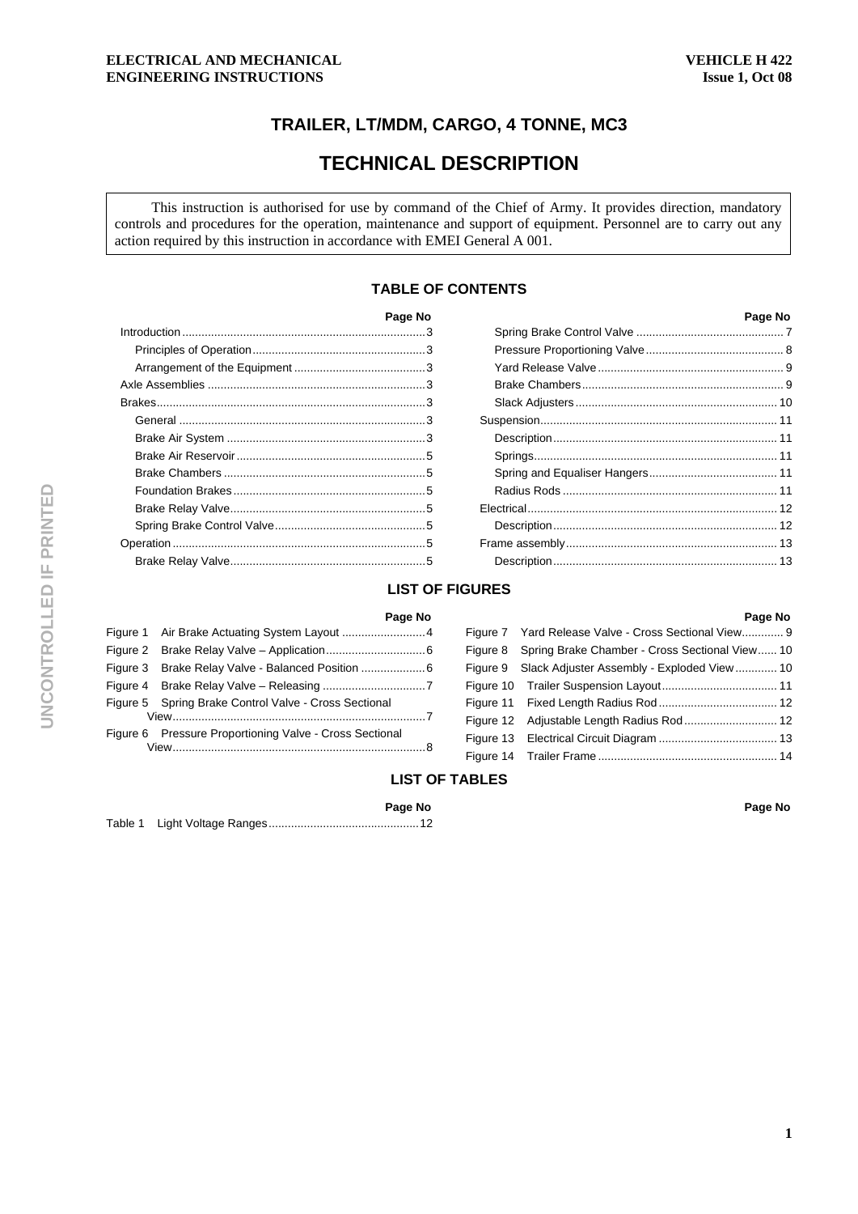## **TRAILER, LT/MDM, CARGO, 4 TONNE, MC3**

## **TECHNICAL DESCRIPTION**

This instruction is authorised for use by command of the Chief of Army. It provides direction, mandatory controls and procedures for the operation, maintenance and support of equipment. Personnel are to carry out any action required by this instruction in accordance with EMEI General A 001.

## **TABLE OF CONTENTS**

| <b>Page No</b> |
|----------------|
|                |
|                |
|                |
|                |
|                |
|                |
|                |
|                |
|                |
|                |
|                |
|                |
|                |
|                |
|                |

| Page No | Page No |
|---------|---------|
| 3       |         |
| 3       |         |
| . 3     |         |
| 3       |         |
| . 3     |         |
| 3       |         |
| . 3     |         |
| . 5     |         |
| . 5     |         |
| . 5     |         |
| . 5     |         |
| . 5     |         |
| . 5     |         |
| . 5     |         |

#### **LIST OF FIGURES**

## Figure 1 Air Brake Actuating System Layout ............................4 Figure 2 Brake Relay Valve – Application...............................6 Figure 3 Brake Relay Valve - Balanced Position .........................6 Figure 4 Brake Relay Valve – Releasing ................................7 Figure 5 Spring Brake Control Valve - Cross Sectional View...............................................................................7 Figure 6 Pressure Proportioning Valve - Cross Sectional View...............................................................................8

| Page No | Page No                                                 |
|---------|---------------------------------------------------------|
| . 4     | Figure 7 Yard Release Valve - Cross Sectional View 9    |
| 6       | Figure 8 Spring Brake Chamber - Cross Sectional View 10 |
| . 6     | Figure 9 Slack Adjuster Assembly - Exploded View 10     |
| 7       |                                                         |
| al      |                                                         |
| . 7     |                                                         |
| onal    |                                                         |
| . 8     |                                                         |
|         |                                                         |

## **LIST OF TABLES**

Page No **Page No** 

Table 1 Light Voltage Ranges...............................................12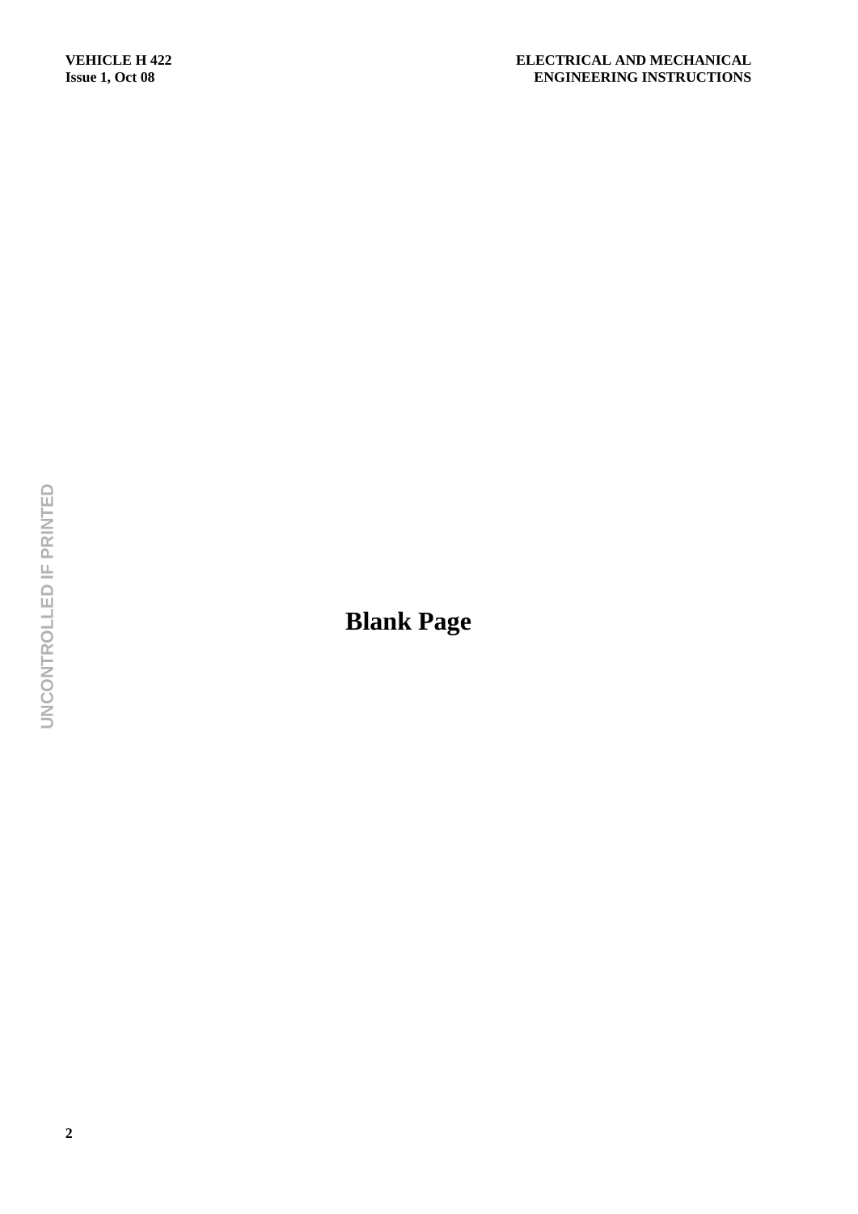# **Blank Page**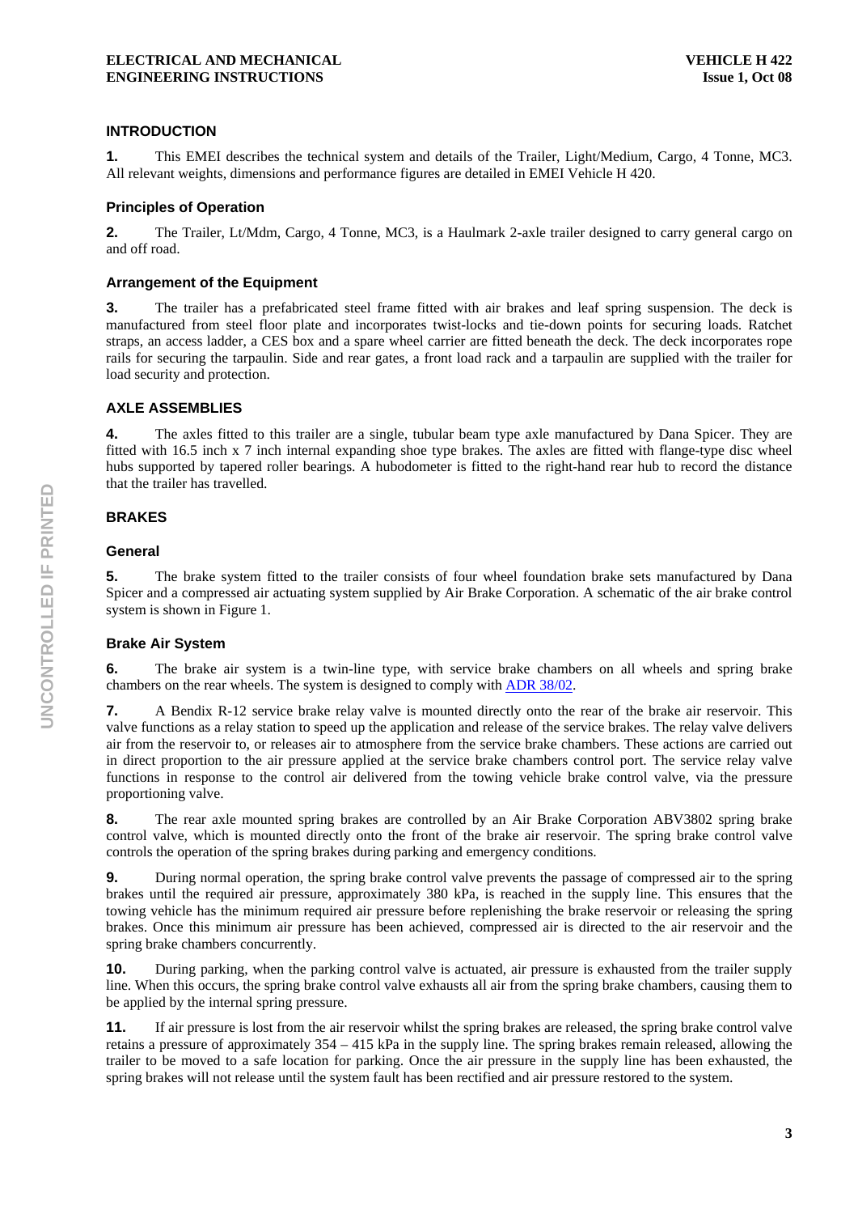## **INTRODUCTION**

**1.** This EMEI describes the technical system and details of the Trailer, Light/Medium, Cargo, 4 Tonne, MC3. All relevant weights, dimensions and performance figures are detailed in EMEI Vehicle H 420.

#### **Principles of Operation**

**2.** The Trailer, Lt/Mdm, Cargo, 4 Tonne, MC3, is a Haulmark 2-axle trailer designed to carry general cargo on and off road.

#### **Arrangement of the Equipment**

**3.** The trailer has a prefabricated steel frame fitted with air brakes and leaf spring suspension. The deck is manufactured from steel floor plate and incorporates twist-locks and tie-down points for securing loads. Ratchet straps, an access ladder, a CES box and a spare wheel carrier are fitted beneath the deck. The deck incorporates rope rails for securing the tarpaulin. Side and rear gates, a front load rack and a tarpaulin are supplied with the trailer for load security and protection.

#### **AXLE ASSEMBLIES**

**4.** The axles fitted to this trailer are a single, tubular beam type axle manufactured by Dana Spicer. They are fitted with 16.5 inch x 7 inch internal expanding shoe type brakes. The axles are fitted with flange-type disc wheel hubs supported by tapered roller bearings. A hubodometer is fitted to the right-hand rear hub to record the distance that the trailer has travelled.

#### **BRAKES**

#### **General**

**5.** The brake system fitted to the trailer consists of four wheel foundation brake sets manufactured by Dana Spicer and a compressed air actuating system supplied by Air Brake Corporation. A schematic of the air brake control system is shown in Figure 1.

#### **Brake Air System**

**6.** The brake air system is a twin-line type, with service brake chambers on all wheels and spring brake chambers on the rear wheels. The system is designed to comply with ADR 38/02.

**7.** A Bendix R-12 service brake relay valve is mounted directly onto the rear of the brake air reservoir. This valve functions as a relay station to speed up the application and release of the service brakes. The relay valve delivers air from the reservoir to, or releases air to atmosphere from the service brake chambers. These actions are carried out in direct proportion to the air pressure applied at the service brake chambers control port. The service relay valve functions in response to the control air delivered from the towing vehicle brake control valve, via the pressure proportioning valve.

**8.** The rear axle mounted spring brakes are controlled by an Air Brake Corporation ABV3802 spring brake control valve, which is mounted directly onto the front of the brake air reservoir. The spring brake control valve controls the operation of the spring brakes during parking and emergency conditions.

**9.** During normal operation, the spring brake control valve prevents the passage of compressed air to the spring brakes until the required air pressure, approximately 380 kPa, is reached in the supply line. This ensures that the towing vehicle has the minimum required air pressure before replenishing the brake reservoir or releasing the spring brakes. Once this minimum air pressure has been achieved, compressed air is directed to the air reservoir and the spring brake chambers concurrently.

**10.** During parking, when the parking control valve is actuated, air pressure is exhausted from the trailer supply line. When this occurs, the spring brake control valve exhausts all air from the spring brake chambers, causing them to be applied by the internal spring pressure.

**11.** If air pressure is lost from the air reservoir whilst the spring brakes are released, the spring brake control valve retains a pressure of approximately 354 – 415 kPa in the supply line. The spring brakes remain released, allowing the trailer to be moved to a safe location for parking. Once the air pressure in the supply line has been exhausted, the spring brakes will not release until the system fault has been rectified and air pressure restored to the system.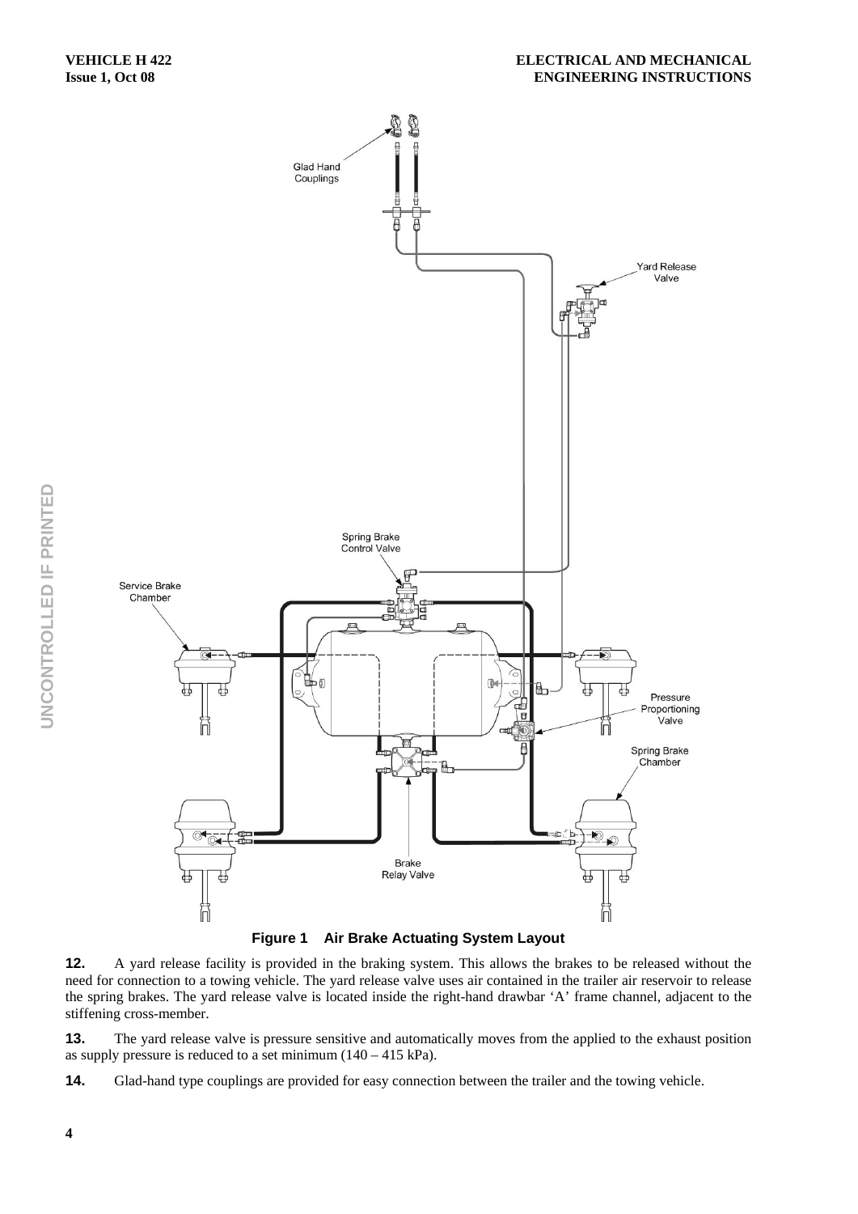

**12.** A yard release facility is provided in the braking system. This allows the brakes to be released without the need for connection to a towing vehicle. The yard release valve uses air contained in the trailer air reservoir to release the spring brakes. The yard release valve is located inside the right-hand drawbar 'A' frame channel, adjacent to the stiffening cross-member.

**13.** The yard release valve is pressure sensitive and automatically moves from the applied to the exhaust position as supply pressure is reduced to a set minimum (140 – 415 kPa).

**14.** Glad-hand type couplings are provided for easy connection between the trailer and the towing vehicle.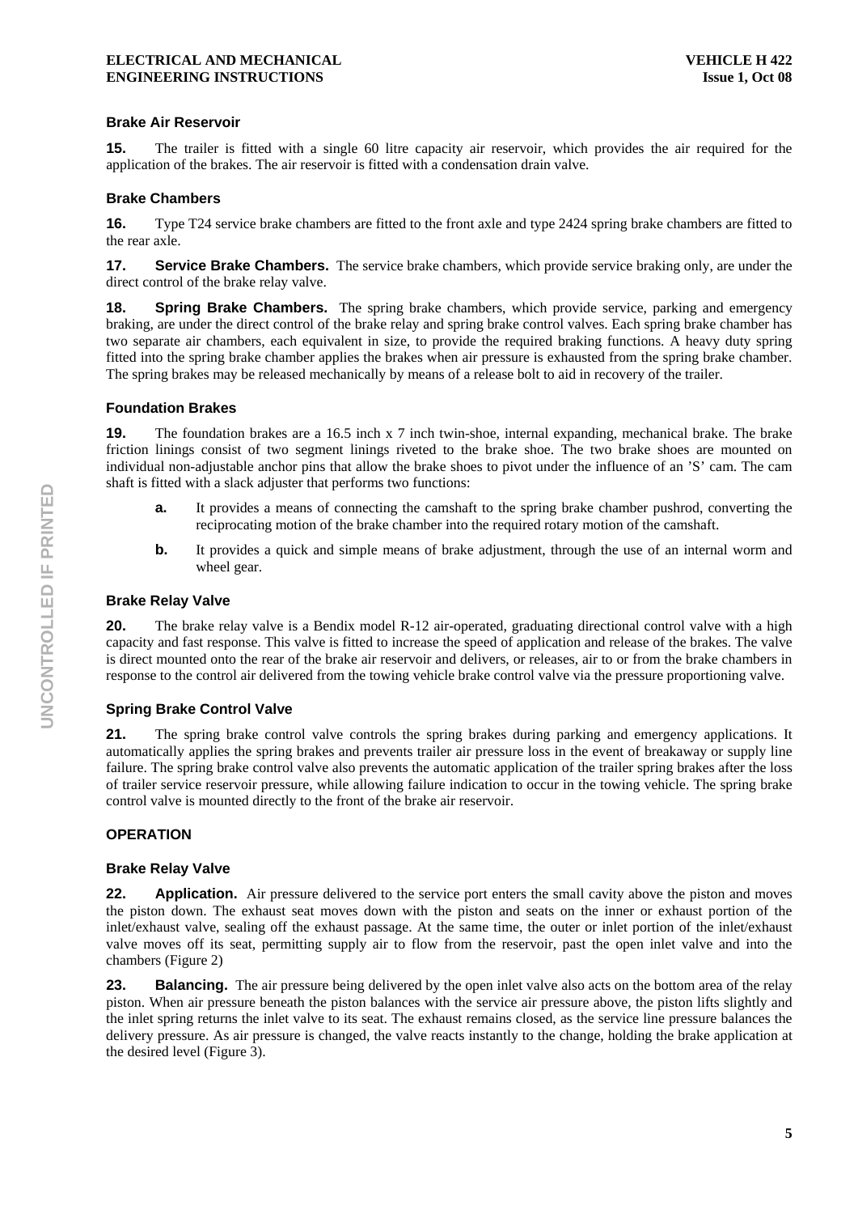#### **Brake Air Reservoir**

**15.** The trailer is fitted with a single 60 litre capacity air reservoir, which provides the air required for the application of the brakes. The air reservoir is fitted with a condensation drain valve.

#### **Brake Chambers**

**16.** Type T24 service brake chambers are fitted to the front axle and type 2424 spring brake chambers are fitted to the rear axle.

**17. Service Brake Chambers.** The service brake chambers, which provide service braking only, are under the direct control of the brake relay valve.

**18.** Spring Brake Chambers. The spring brake chambers, which provide service, parking and emergency braking, are under the direct control of the brake relay and spring brake control valves. Each spring brake chamber has two separate air chambers, each equivalent in size, to provide the required braking functions. A heavy duty spring fitted into the spring brake chamber applies the brakes when air pressure is exhausted from the spring brake chamber. The spring brakes may be released mechanically by means of a release bolt to aid in recovery of the trailer.

#### **Foundation Brakes**

**19.** The foundation brakes are a 16.5 inch x 7 inch twin-shoe, internal expanding, mechanical brake. The brake friction linings consist of two segment linings riveted to the brake shoe. The two brake shoes are mounted on individual non-adjustable anchor pins that allow the brake shoes to pivot under the influence of an 'S' cam. The cam shaft is fitted with a slack adjuster that performs two functions:

- **a.** It provides a means of connecting the camshaft to the spring brake chamber pushrod, converting the reciprocating motion of the brake chamber into the required rotary motion of the camshaft.
- **b.** It provides a quick and simple means of brake adjustment, through the use of an internal worm and wheel gear.

#### **Brake Relay Valve**

**20.** The brake relay valve is a Bendix model R-12 air-operated, graduating directional control valve with a high capacity and fast response. This valve is fitted to increase the speed of application and release of the brakes. The valve is direct mounted onto the rear of the brake air reservoir and delivers, or releases, air to or from the brake chambers in response to the control air delivered from the towing vehicle brake control valve via the pressure proportioning valve.

#### **Spring Brake Control Valve**

21. The spring brake control valve controls the spring brakes during parking and emergency applications. It automatically applies the spring brakes and prevents trailer air pressure loss in the event of breakaway or supply line failure. The spring brake control valve also prevents the automatic application of the trailer spring brakes after the loss of trailer service reservoir pressure, while allowing failure indication to occur in the towing vehicle. The spring brake control valve is mounted directly to the front of the brake air reservoir.

#### **OPERATION**

#### **Brake Relay Valve**

**22. Application.** Air pressure delivered to the service port enters the small cavity above the piston and moves the piston down. The exhaust seat moves down with the piston and seats on the inner or exhaust portion of the inlet/exhaust valve, sealing off the exhaust passage. At the same time, the outer or inlet portion of the inlet/exhaust valve moves off its seat, permitting supply air to flow from the reservoir, past the open inlet valve and into the chambers (Figure 2)

**23. Balancing.** The air pressure being delivered by the open inlet valve also acts on the bottom area of the relay piston. When air pressure beneath the piston balances with the service air pressure above, the piston lifts slightly and the inlet spring returns the inlet valve to its seat. The exhaust remains closed, as the service line pressure balances the delivery pressure. As air pressure is changed, the valve reacts instantly to the change, holding the brake application at the desired level (Figure 3).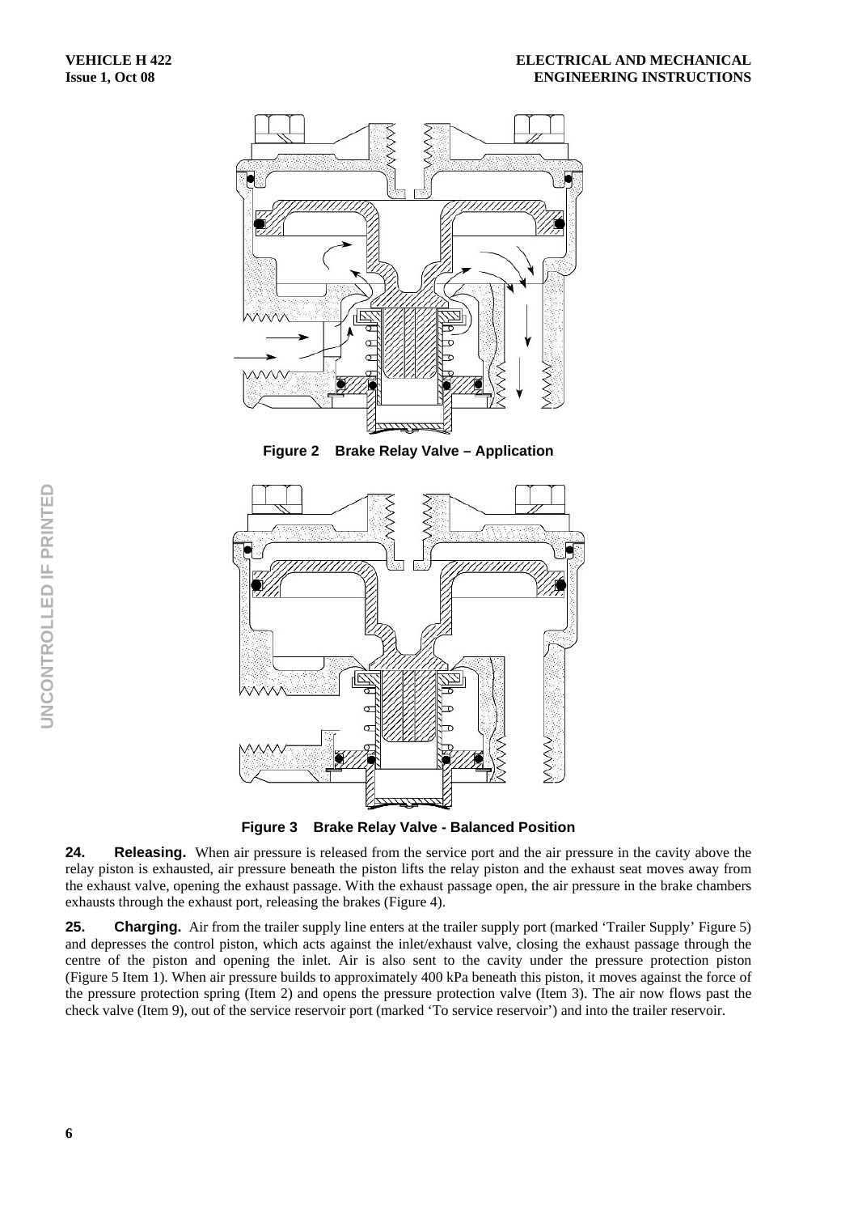

**Figure 2 Brake Relay Valve – Application** 



**Figure 3 Brake Relay Valve - Balanced Position** 

**24. Releasing.** When air pressure is released from the service port and the air pressure in the cavity above the relay piston is exhausted, air pressure beneath the piston lifts the relay piston and the exhaust seat moves away from the exhaust valve, opening the exhaust passage. With the exhaust passage open, the air pressure in the brake chambers exhausts through the exhaust port, releasing the brakes (Figure 4).

**25.** Charging. Air from the trailer supply line enters at the trailer supply port (marked 'Trailer Supply' Figure 5) and depresses the control piston, which acts against the inlet/exhaust valve, closing the exhaust passage through the centre of the piston and opening the inlet. Air is also sent to the cavity under the pressure protection piston (Figure 5 Item 1). When air pressure builds to approximately 400 kPa beneath this piston, it moves against the force of the pressure protection spring (Item 2) and opens the pressure protection valve (Item 3). The air now flows past the check valve (Item 9), out of the service reservoir port (marked 'To service reservoir') and into the trailer reservoir.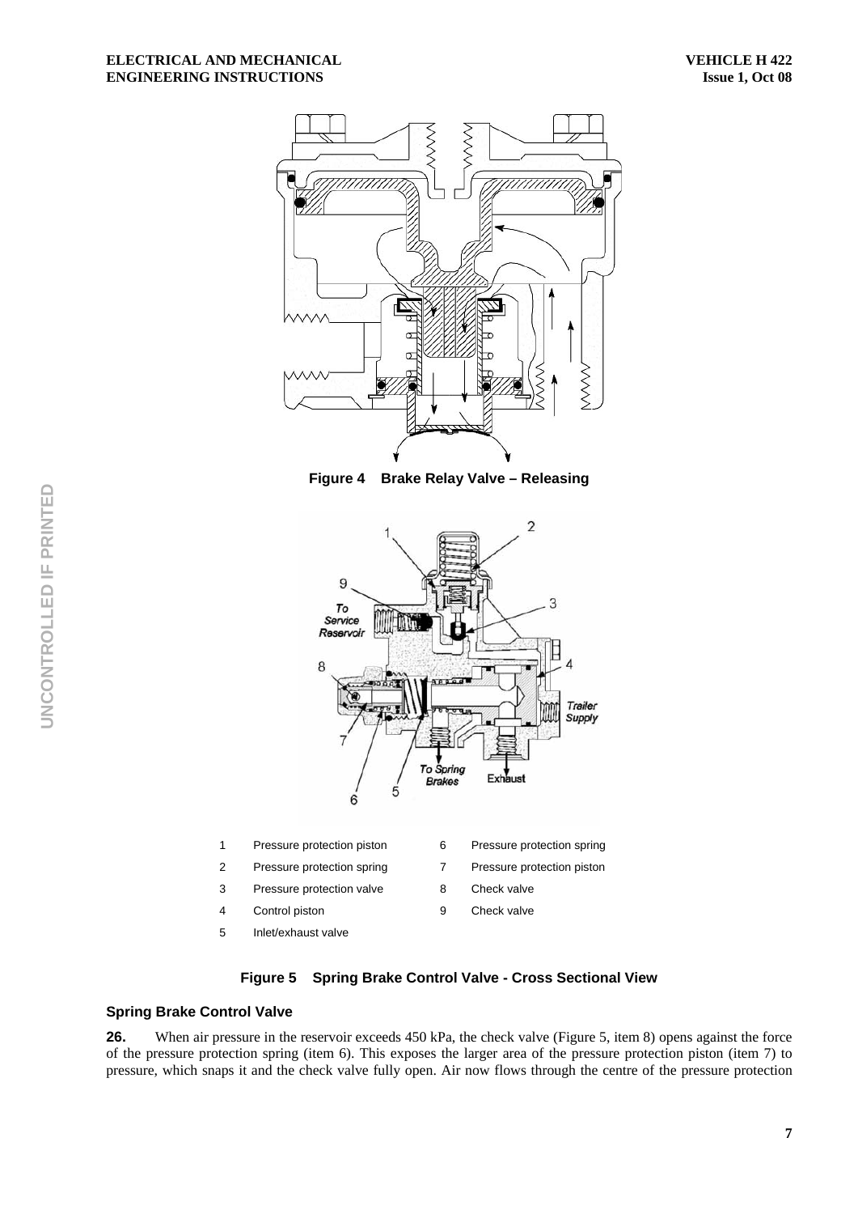

**Figure 4 Brake Relay Valve – Releasing** 



- 1 Pressure protection piston 6 Pressure protection spring
- 2 Pressure protection spring 7 Pressure protection piston
- 3 Pressure protection valve 8 Check valve
- 4 Control piston 9 Check valve
- 5 Inlet/exhaust valve
- 
- 
- 

## **Figure 5 Spring Brake Control Valve - Cross Sectional View**

#### **Spring Brake Control Valve**

**26.** When air pressure in the reservoir exceeds 450 kPa, the check valve (Figure 5, item 8) opens against the force of the pressure protection spring (item 6). This exposes the larger area of the pressure protection piston (item 7) to pressure, which snaps it and the check valve fully open. Air now flows through the centre of the pressure protection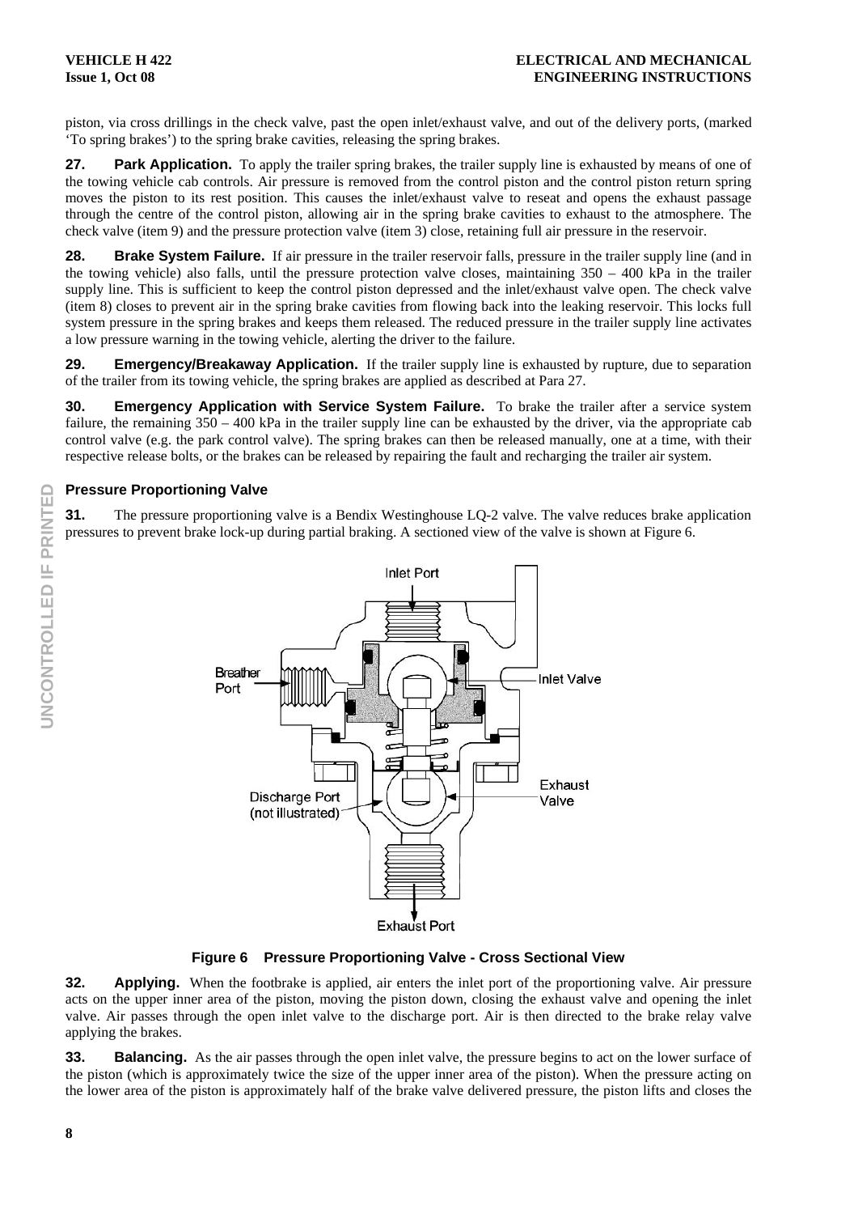## **VEHICLE H 422 Issue 1, Oct 08**

piston, via cross drillings in the check valve, past the open inlet/exhaust valve, and out of the delivery ports, (marked 'To spring brakes') to the spring brake cavities, releasing the spring brakes.

**27. Park Application.** To apply the trailer spring brakes, the trailer supply line is exhausted by means of one of the towing vehicle cab controls. Air pressure is removed from the control piston and the control piston return spring moves the piston to its rest position. This causes the inlet/exhaust valve to reseat and opens the exhaust passage through the centre of the control piston, allowing air in the spring brake cavities to exhaust to the atmosphere. The check valve (item 9) and the pressure protection valve (item 3) close, retaining full air pressure in the reservoir.

**28. Brake System Failure.** If air pressure in the trailer reservoir falls, pressure in the trailer supply line (and in the towing vehicle) also falls, until the pressure protection valve closes, maintaining 350 – 400 kPa in the trailer supply line. This is sufficient to keep the control piston depressed and the inlet/exhaust valve open. The check valve (item 8) closes to prevent air in the spring brake cavities from flowing back into the leaking reservoir. This locks full system pressure in the spring brakes and keeps them released. The reduced pressure in the trailer supply line activates a low pressure warning in the towing vehicle, alerting the driver to the failure.

**29. Emergency/Breakaway Application.** If the trailer supply line is exhausted by rupture, due to separation of the trailer from its towing vehicle, the spring brakes are applied as described at Para 27.

**30. Emergency Application with Service System Failure.** To brake the trailer after a service system failure, the remaining 350 – 400 kPa in the trailer supply line can be exhausted by the driver, via the appropriate cab control valve (e.g. the park control valve). The spring brakes can then be released manually, one at a time, with their respective release bolts, or the brakes can be released by repairing the fault and recharging the trailer air system.

## **Pressure Proportioning Valve**

**31.** The pressure proportioning valve is a Bendix Westinghouse LQ-2 valve. The valve reduces brake application pressures to prevent brake lock-up during partial braking. A sectioned view of the valve is shown at Figure 6.



**Figure 6 Pressure Proportioning Valve - Cross Sectional View** 

**32.** Applying. When the footbrake is applied, air enters the inlet port of the proportioning valve. Air pressure acts on the upper inner area of the piston, moving the piston down, closing the exhaust valve and opening the inlet valve. Air passes through the open inlet valve to the discharge port. Air is then directed to the brake relay valve applying the brakes.

**33. Balancing.** As the air passes through the open inlet valve, the pressure begins to act on the lower surface of the piston (which is approximately twice the size of the upper inner area of the piston). When the pressure acting on the lower area of the piston is approximately half of the brake valve delivered pressure, the piston lifts and closes the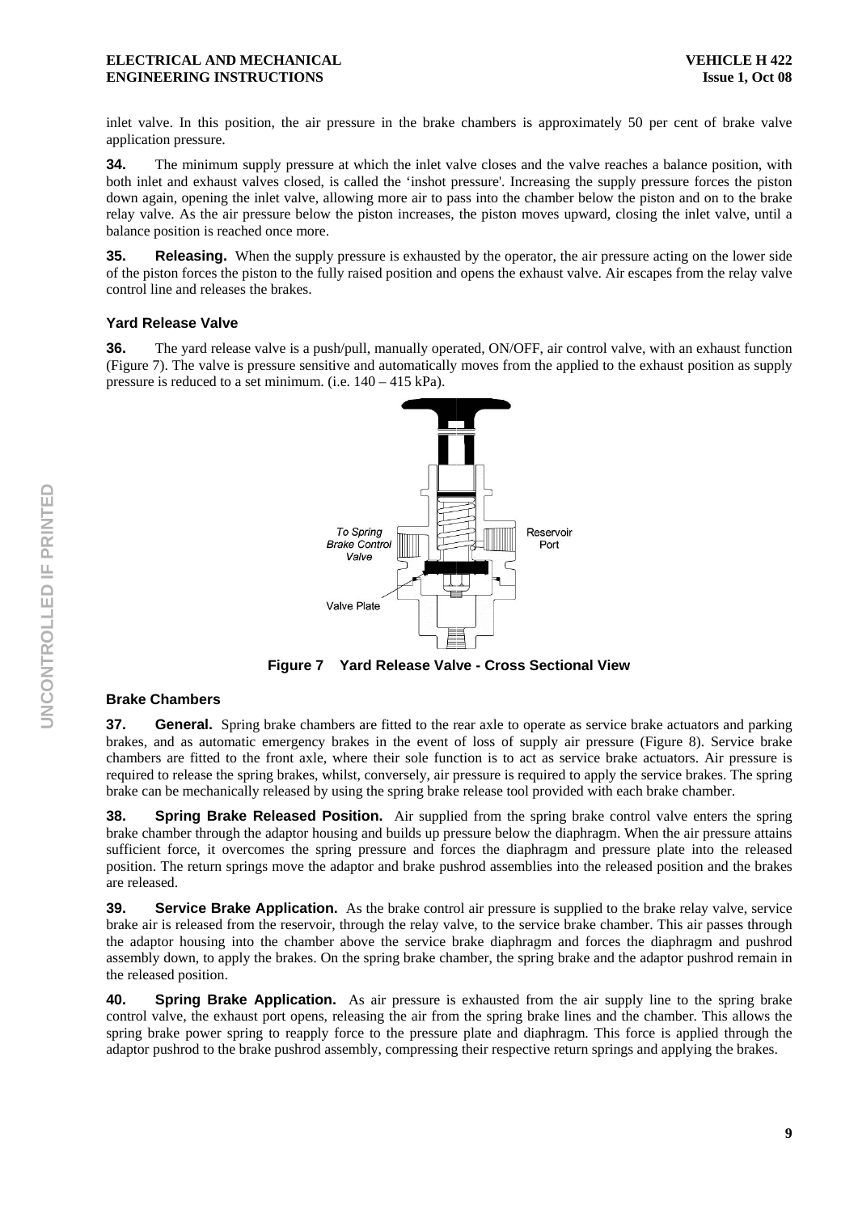inlet valve. In this position, the air pressure in the brake chambers is approximately 50 per cent of brake valve application pressure.

**34.** The minimum supply pressure at which the inlet valve closes and the valve reaches a balance position, with both inlet and exhaust valves closed, is called the 'inshot pressure'. Increasing the supply pressure forces the piston down again, opening the inlet valve, allowing more air to pass into the chamber below the piston and on to the brake relay valve. As the air pressure below the piston increases, the piston moves upward, closing the inlet valve, until a balance position is reached once more.

**35.** Releasing. When the supply pressure is exhausted by the operator, the air pressure acting on the lower side of the piston forces the piston to the fully raised position and opens the exhaust valve. Air escapes from the relay valve control line and releases the brakes.

#### **Yard Release Valve**

**36.** The yard release valve is a push/pull, manually operated, ON/OFF, air control valve, with an exhaust function (Figure 7). The valve is pressure sensitive and automatically moves from the applied to the exhaust position as supply pressure is reduced to a set minimum. (i.e. 140 – 415 kPa).



**Figure 7 Yard Release Valve - Cross Sectional View** 

#### **Brake Chambers**

**37. General.** Spring brake chambers are fitted to the rear axle to operate as service brake actuators and parking brakes, and as automatic emergency brakes in the event of loss of supply air pressure (Figure 8). Service brake chambers are fitted to the front axle, where their sole function is to act as service brake actuators. Air pressure is required to release the spring brakes, whilst, conversely, air pressure is required to apply the service brakes. The spring brake can be mechanically released by using the spring brake release tool provided with each brake chamber.

**38. Spring Brake Released Position.** Air supplied from the spring brake control valve enters the spring brake chamber through the adaptor housing and builds up pressure below the diaphragm. When the air pressure attains sufficient force, it overcomes the spring pressure and forces the diaphragm and pressure plate into the released position. The return springs move the adaptor and brake pushrod assemblies into the released position and the brakes are released.

**39. Service Brake Application.** As the brake control air pressure is supplied to the brake relay valve, service brake air is released from the reservoir, through the relay valve, to the service brake chamber. This air passes through the adaptor housing into the chamber above the service brake diaphragm and forces the diaphragm and pushrod assembly down, to apply the brakes. On the spring brake chamber, the spring brake and the adaptor pushrod remain in the released position.

**40. Spring Brake Application.** As air pressure is exhausted from the air supply line to the spring brake control valve, the exhaust port opens, releasing the air from the spring brake lines and the chamber. This allows the spring brake power spring to reapply force to the pressure plate and diaphragm. This force is applied through the adaptor pushrod to the brake pushrod assembly, compressing their respective return springs and applying the brakes.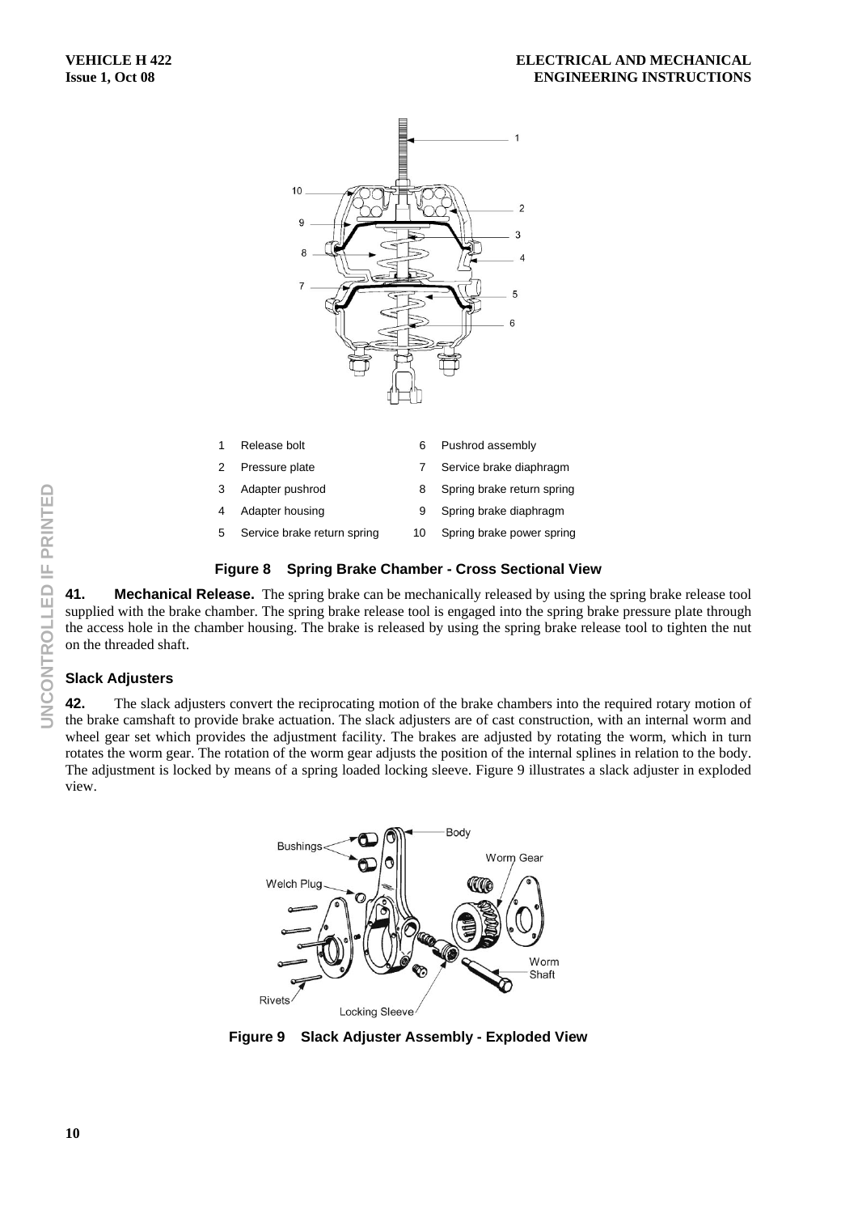

3 Adapter pushrod 8 Spring brake return spring

4 Adapter housing 19 Spring brake diaphragm

5 Service brake return spring 10 Spring brake power spring

#### **Figure 8 Spring Brake Chamber - Cross Sectional View**

**41. Mechanical Release.** The spring brake can be mechanically released by using the spring brake release tool supplied with the brake chamber. The spring brake release tool is engaged into the spring brake pressure plate through the access hole in the chamber housing. The brake is released by using the spring brake release tool to tighten the nut on the threaded shaft.

#### **Slack Adjusters**

**42.** The slack adjusters convert the reciprocating motion of the brake chambers into the required rotary motion of the brake camshaft to provide brake actuation. The slack adjusters are of cast construction, with an internal worm and wheel gear set which provides the adjustment facility. The brakes are adjusted by rotating the worm, which in turn rotates the worm gear. The rotation of the worm gear adjusts the position of the internal splines in relation to the body. The adjustment is locked by means of a spring loaded locking sleeve. Figure 9 illustrates a slack adjuster in exploded view.



**Figure 9 Slack Adjuster Assembly - Exploded View**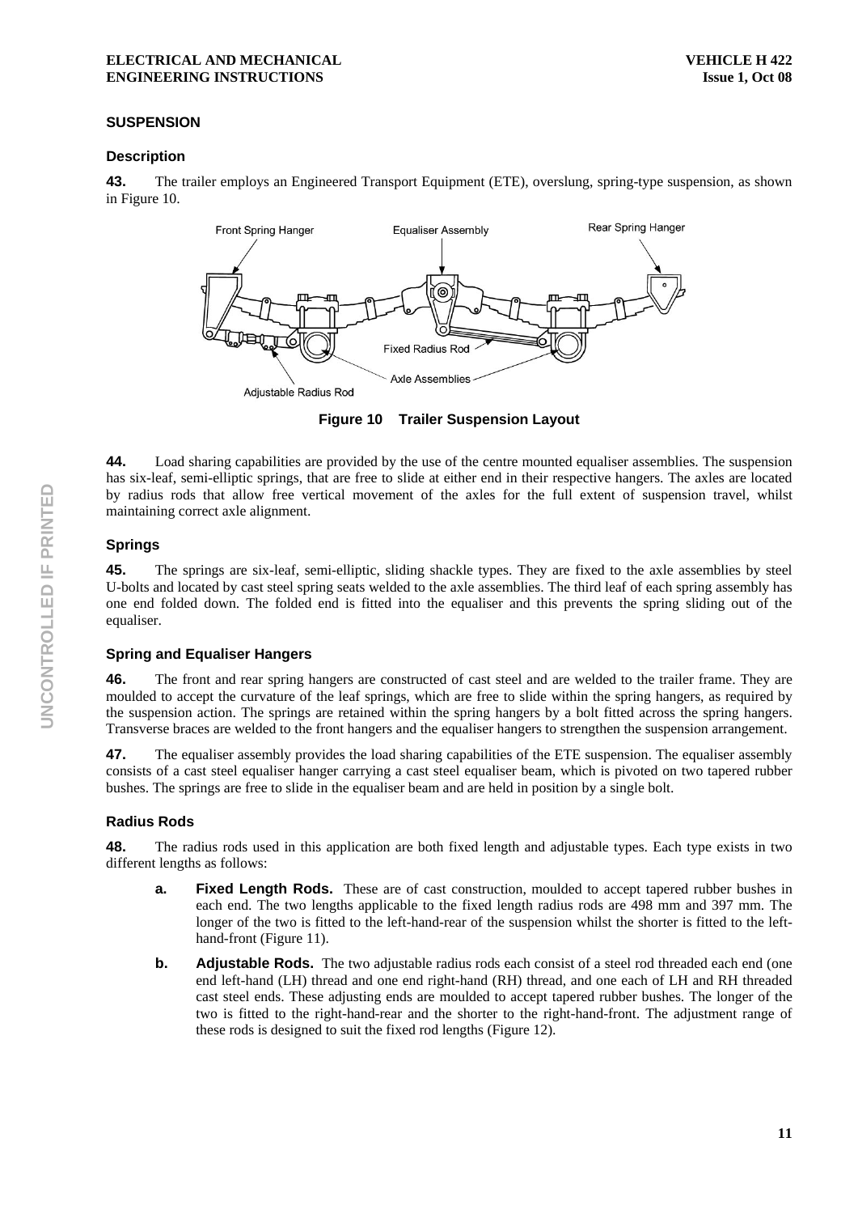#### **SUSPENSION**

#### **Description**

**43.** The trailer employs an Engineered Transport Equipment (ETE), overslung, spring-type suspension, as shown in Figure 10.



**Figure 10 Trailer Suspension Layout** 

**44.** Load sharing capabilities are provided by the use of the centre mounted equaliser assemblies. The suspension has six-leaf, semi-elliptic springs, that are free to slide at either end in their respective hangers. The axles are located by radius rods that allow free vertical movement of the axles for the full extent of suspension travel, whilst maintaining correct axle alignment.

#### **Springs**

**45.** The springs are six-leaf, semi-elliptic, sliding shackle types. They are fixed to the axle assemblies by steel U-bolts and located by cast steel spring seats welded to the axle assemblies. The third leaf of each spring assembly has one end folded down. The folded end is fitted into the equaliser and this prevents the spring sliding out of the equaliser.

#### **Spring and Equaliser Hangers**

**46.** The front and rear spring hangers are constructed of cast steel and are welded to the trailer frame. They are moulded to accept the curvature of the leaf springs, which are free to slide within the spring hangers, as required by the suspension action. The springs are retained within the spring hangers by a bolt fitted across the spring hangers. Transverse braces are welded to the front hangers and the equaliser hangers to strengthen the suspension arrangement.

**47.** The equaliser assembly provides the load sharing capabilities of the ETE suspension. The equaliser assembly consists of a cast steel equaliser hanger carrying a cast steel equaliser beam, which is pivoted on two tapered rubber bushes. The springs are free to slide in the equaliser beam and are held in position by a single bolt.

#### **Radius Rods**

**48.** The radius rods used in this application are both fixed length and adjustable types. Each type exists in two different lengths as follows:

- **a.** Fixed Length Rods. These are of cast construction, moulded to accept tapered rubber bushes in each end. The two lengths applicable to the fixed length radius rods are 498 mm and 397 mm. The longer of the two is fitted to the left-hand-rear of the suspension whilst the shorter is fitted to the lefthand-front (Figure 11).
- **b.** Adjustable Rods. The two adjustable radius rods each consist of a steel rod threaded each end (one end left-hand (LH) thread and one end right-hand (RH) thread, and one each of LH and RH threaded cast steel ends. These adjusting ends are moulded to accept tapered rubber bushes. The longer of the two is fitted to the right-hand-rear and the shorter to the right-hand-front. The adjustment range of these rods is designed to suit the fixed rod lengths (Figure 12).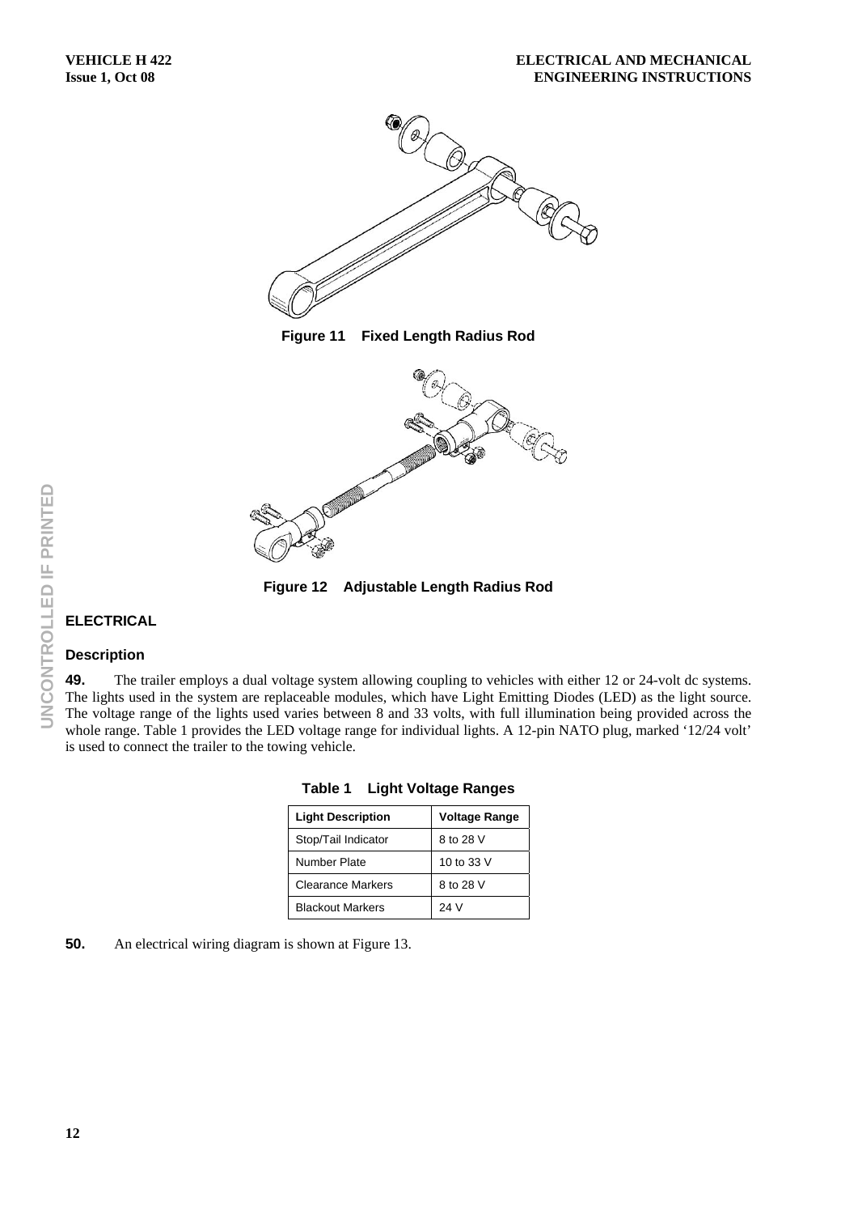







## **ELECTRICAL**

## **Description**

**49.** The trailer employs a dual voltage system allowing coupling to vehicles with either 12 or 24-volt dc systems. The lights used in the system are replaceable modules, which have Light Emitting Diodes (LED) as the light source. The voltage range of the lights used varies between 8 and 33 volts, with full illumination being provided across the whole range. Table 1 provides the LED voltage range for individual lights. A 12-pin NATO plug, marked '12/24 volt' is used to connect the trailer to the towing vehicle.

| <b>Light Description</b> | <b>Voltage Range</b> |
|--------------------------|----------------------|
| Stop/Tail Indicator      | 8 to 28 V            |
| Number Plate             | 10 to 33 V           |
| Clearance Markers        | 8 to 28 V            |
| <b>Blackout Markers</b>  | 24 V                 |

**Table 1 Light Voltage Ranges** 

**50.** An electrical wiring diagram is shown at Figure 13.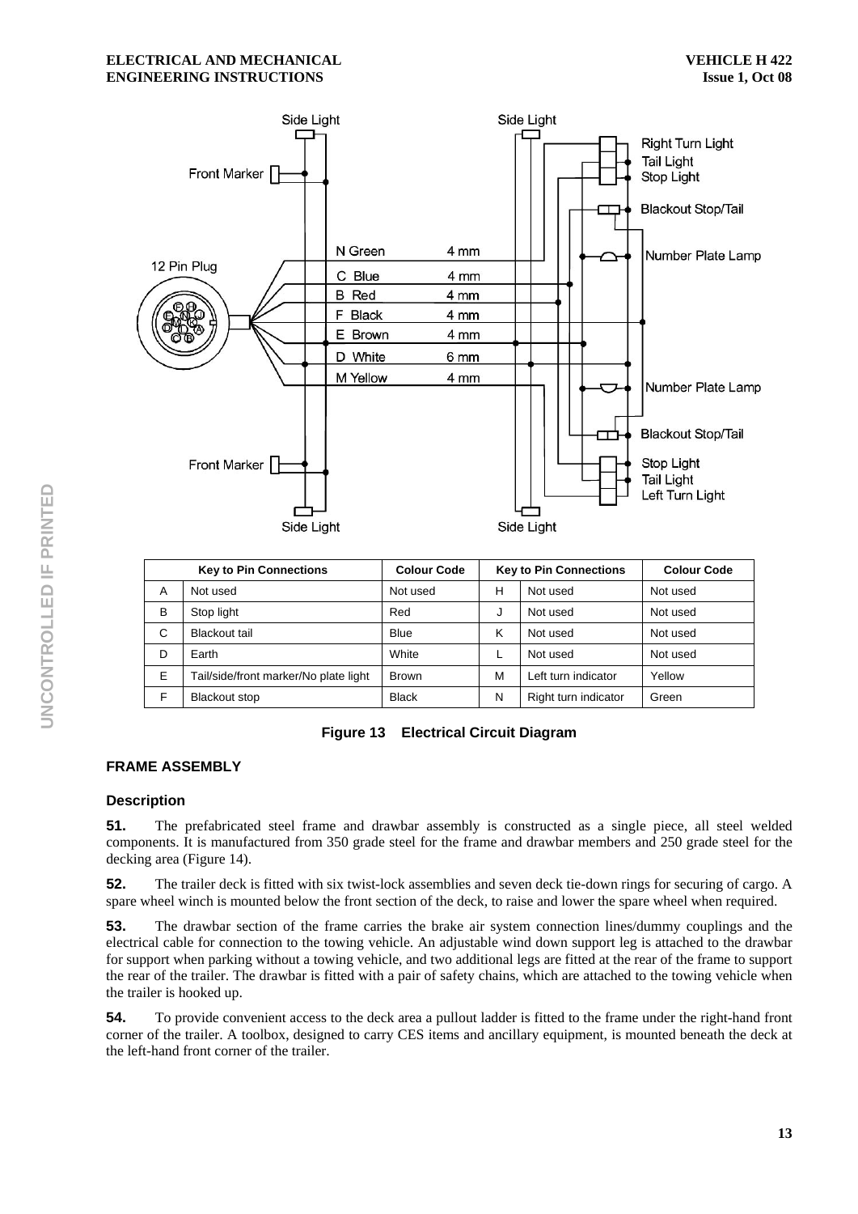

| <b>Key to Pin Connections</b> |                                       | <b>Colour Code</b> | <b>Key to Pin Connections</b> |                      | <b>Colour Code</b> |
|-------------------------------|---------------------------------------|--------------------|-------------------------------|----------------------|--------------------|
| A                             | Not used                              | Not used           | н                             | Not used             | Not used           |
| B                             | Stop light                            | Red                | J                             | Not used             | Not used           |
| C                             | <b>Blackout tail</b>                  | <b>Blue</b>        | ĸ                             | Not used             | Not used           |
| D                             | Earth                                 | White              |                               | Not used             | Not used           |
| E                             | Tail/side/front marker/No plate light | <b>Brown</b>       | M                             | Left turn indicator  | Yellow             |
| F                             | <b>Blackout stop</b>                  | <b>Black</b>       | N                             | Right turn indicator | Green              |

|  | <b>Figure 13 Electrical Circuit Diagram</b> |  |
|--|---------------------------------------------|--|
|--|---------------------------------------------|--|

## **FRAME ASSEMBLY**

## **Description**

**51.** The prefabricated steel frame and drawbar assembly is constructed as a single piece, all steel welded components. It is manufactured from 350 grade steel for the frame and drawbar members and 250 grade steel for the decking area (Figure 14).

**52.** The trailer deck is fitted with six twist-lock assemblies and seven deck tie-down rings for securing of cargo. A spare wheel winch is mounted below the front section of the deck, to raise and lower the spare wheel when required.

**53.** The drawbar section of the frame carries the brake air system connection lines/dummy couplings and the electrical cable for connection to the towing vehicle. An adjustable wind down support leg is attached to the drawbar for support when parking without a towing vehicle, and two additional legs are fitted at the rear of the frame to support the rear of the trailer. The drawbar is fitted with a pair of safety chains, which are attached to the towing vehicle when the trailer is hooked up.

**54.** To provide convenient access to the deck area a pullout ladder is fitted to the frame under the right-hand front corner of the trailer. A toolbox, designed to carry CES items and ancillary equipment, is mounted beneath the deck at the left-hand front corner of the trailer.